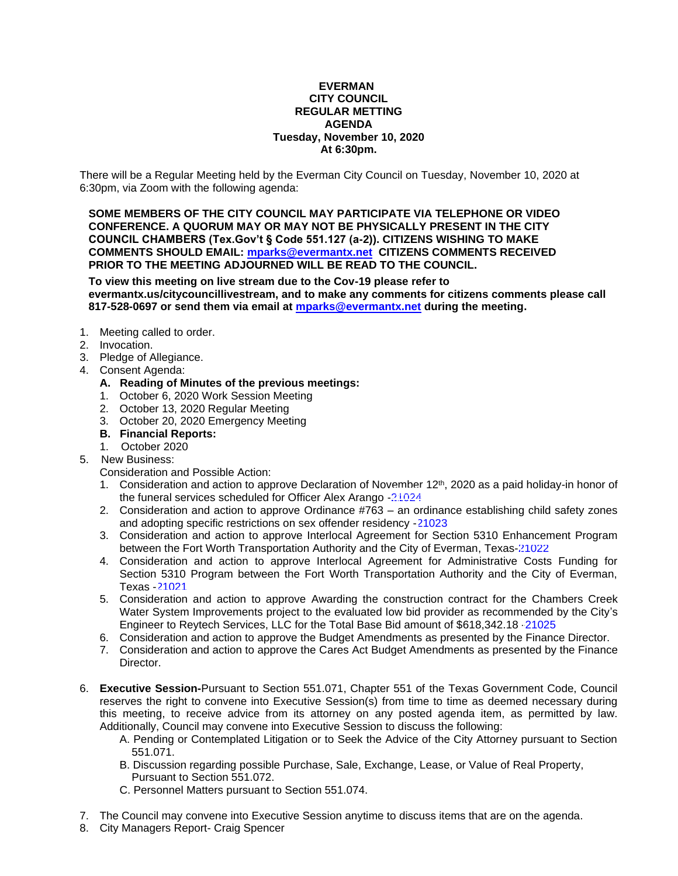#### **EVERMAN CITY COUNCIL REGULAR METTING AGENDA Tuesday, November 10, 2020 At 6:30pm.**

There will be a Regular Meeting held by the Everman City Council on Tuesday, November 10, 2020 at 6:30pm, via Zoom with the following agenda:

**SOME MEMBERS OF THE CITY COUNCIL MAY PARTICIPATE VIA TELEPHONE OR VIDEO CONFERENCE. A QUORUM MAY OR MAY NOT BE PHYSICALLY PRESENT IN THE CITY COUNCIL CHAMBERS (Tex.Gov't § Code 551.127 (a-2)). CITIZENS WISHING TO MAKE COMMENTS SHOULD EMAIL: [mparks@evermantx.net](mailto:mparks@evermantx.net) CITIZENS COMMENTS RECEIVED PRIOR TO THE MEETING ADJOURNED WILL BE READ TO THE COUNCIL.**

**To view this meeting on live stream due to the Cov-19 please refer to evermantx.us/citycouncillivestream, and to make any comments for citizens comments please call 817-528-0697 or send them via email at [mparks@evermantx.net](mailto:mparks@evermantx.net) during the meeting.**

- 1. Meeting called to order.
- 2. Invocation.
- 3. Pledge of Allegiance.
- 4. Consent Agenda:
	- **A. Reading of Minutes of the previous meetings:**
	- 1. October 6, 2020 Work Session Meeting
	- 2. October 13, 2020 Regular Meeting
	- 3. October 20, 2020 Emergency Meeting
	- **B. Financial Reports:**
	- 1. October 2020
- 5. New Business:
	- Consideration and Possible Action:
	- 1. Consideration and action to approve Declaration of November  $12<sup>th</sup>$ , 2020 as a paid holiday-in honor of the funeral services scheduled for Officer Alex Arango [-21024](#page-15-0)
	- 2. Consideration and action to approve Ordinance #763 an ordinance establishing child safety zones and adopting specific restrictions on sex offender residency -[21023](#page-16-0)
	- 3. Consideration and action to approve Interlocal Agreement for Section 5310 Enhancement Program between the Fort Worth Transportation Authority and the City of Everman, Texas-[21022](#page-17-0)
	- 4. Consideration and action to approve Interlocal Agreement for Administrative Costs Funding for Section 5310 Program between the Fort Worth Transportation Authority and the City of Everman, Texas -[21021](#page-18-0)
	- 5. Consideration and action to approve Awarding the construction contract for the Chambers Creek Water System Improvements project to the evaluated low bid provider as recommended by the City's Engineer to Reytech Services, LLC for the Total Base Bid amount of \$618,342.18 [-21025](#page-19-0)
	- 6. Consideration and action to approve the Budget Amendments as presented by the Finance Director.
	- 7. Consideration and action to approve the Cares Act Budget Amendments as presented by the Finance Director.
- 6. **Executive Session-**Pursuant to Section 551.071, Chapter 551 of the Texas Government Code, Council reserves the right to convene into Executive Session(s) from time to time as deemed necessary during this meeting, to receive advice from its attorney on any posted agenda item, as permitted by law. Additionally, Council may convene into Executive Session to discuss the following:
	- A. Pending or Contemplated Litigation or to Seek the Advice of the City Attorney pursuant to Section 551.071.
	- B. Discussion regarding possible Purchase, Sale, Exchange, Lease, or Value of Real Property, Pursuant to Section 551.072.
	- C. Personnel Matters pursuant to Section 551.074.
- 7. The Council may convene into Executive Session anytime to discuss items that are on the agenda.
- 8. City Managers Report- Craig Spencer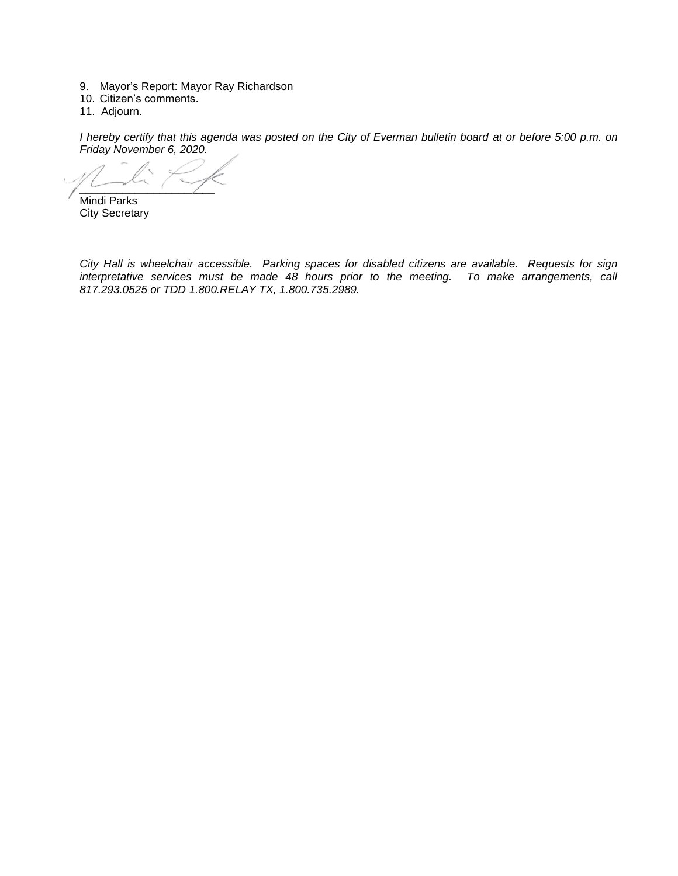- 9. Mayor's Report: Mayor Ray Richardson
- 10. Citizen's comments.
- 11. Adjourn.

*I hereby certify that this agenda was posted on the City of Everman bulletin board at or before 5:00 p.m. on Friday November 6, 2020.*

 $\sim$ 

Mindi Parks City Secretary

*City Hall is wheelchair accessible. Parking spaces for disabled citizens are available. Requests for sign interpretative services must be made 48 hours prior to the meeting. To make arrangements, call 817.293.0525 or TDD 1.800.RELAY TX, 1.800.735.2989.*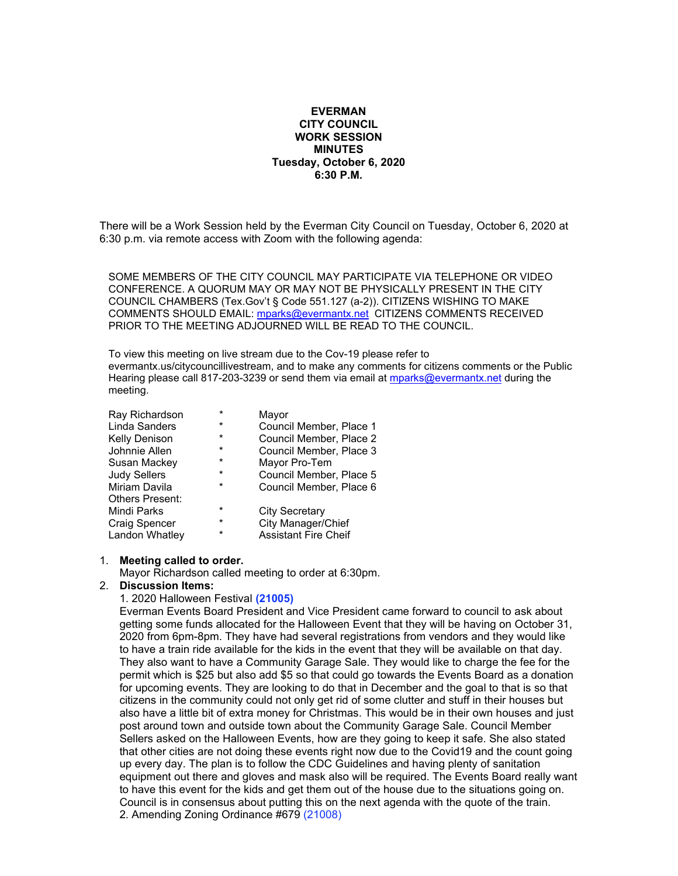#### **EVERMAN CITY COUNCIL WORK SESSION MINUTES Tuesday, October 6, 2020 6:30 P.M.**

There will be a Work Session held by the Everman City Council on Tuesday, October 6, 2020 at 6:30 p.m. via remote access with Zoom with the following agenda:

SOME MEMBERS OF THE CITY COUNCIL MAY PARTICIPATE VIA TELEPHONE OR VIDEO CONFERENCE. A QUORUM MAY OR MAY NOT BE PHYSICALLY PRESENT IN THE CITY COUNCIL CHAMBERS (Tex.Gov't § Code 551.127 (a-2)). CITIZENS WISHING TO MAKE COMMENTS SHOULD EMAIL: [mparks@evermantx.net](mailto:mparks@evermantx.net) CITIZENS COMMENTS RECEIVED PRIOR TO THE MEETING ADJOURNED WILL BE READ TO THE COUNCIL.

To view this meeting on live stream due to the Cov-19 please refer to evermantx.us/citycouncillivestream, and to make any comments for citizens comments or the Public Hearing please call 817-203-3239 or send them via email at [mparks@evermantx.net](mailto:mparks@evermantx.net) during the meeting.

| Ray Richardson         | $\star$  | Mayor                       |
|------------------------|----------|-----------------------------|
| Linda Sanders          | $\star$  | Council Member, Place 1     |
| <b>Kelly Denison</b>   | $\star$  | Council Member, Place 2     |
| Johnnie Allen          | $\star$  | Council Member, Place 3     |
| Susan Mackey           | $\star$  | Mayor Pro-Tem               |
| <b>Judy Sellers</b>    | $\star$  | Council Member, Place 5     |
| Miriam Davila          | $\star$  | Council Member, Place 6     |
| <b>Others Present:</b> |          |                             |
| Mindi Parks            | $\star$  | <b>City Secretary</b>       |
| <b>Craig Spencer</b>   | *        | City Manager/Chief          |
| Landon Whatley         | $^\star$ | <b>Assistant Fire Cheif</b> |

#### 1. **Meeting called to order.**

Mayor Richardson called meeting to order at 6:30pm.

#### 2. **Discussion Items:**

#### 1. 2020 Halloween Festival **(21005)**

Everman Events Board President and Vice President came forward to council to ask about getting some funds allocated for the Halloween Event that they will be having on October 31, 2020 from 6pm-8pm. They have had several registrations from vendors and they would like to have a train ride available for the kids in the event that they will be available on that day. They also want to have a Community Garage Sale. They would like to charge the fee for the permit which is \$25 but also add \$5 so that could go towards the Events Board as a donation for upcoming events. They are looking to do that in December and the goal to that is so that citizens in the community could not only get rid of some clutter and stuff in their houses but also have a little bit of extra money for Christmas. This would be in their own houses and just post around town and outside town about the Community Garage Sale. Council Member Sellers asked on the Halloween Events, how are they going to keep it safe. She also stated that other cities are not doing these events right now due to the Covid19 and the count going up every day. The plan is to follow the CDC Guidelines and having plenty of sanitation equipment out there and gloves and mask also will be required. The Events Board really want to have this event for the kids and get them out of the house due to the situations going on. Council is in consensus about putting this on the next agenda with the quote of the train. 2. Amending Zoning Ordinance #679 (21008)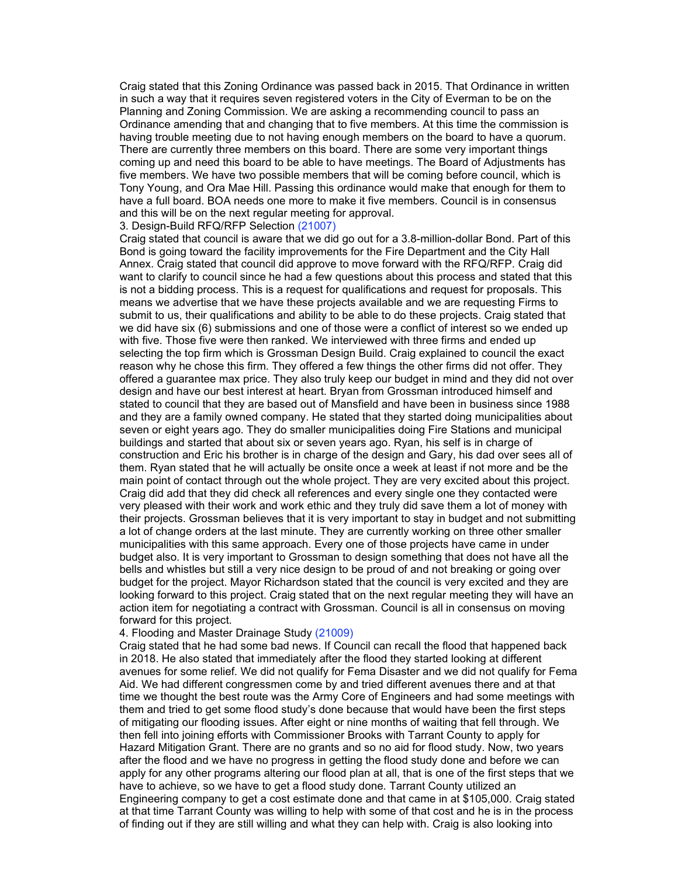Craig stated that this Zoning Ordinance was passed back in 2015. That Ordinance in written in such a way that it requires seven registered voters in the City of Everman to be on the Planning and Zoning Commission. We are asking a recommending council to pass an Ordinance amending that and changing that to five members. At this time the commission is having trouble meeting due to not having enough members on the board to have a quorum. There are currently three members on this board. There are some very important things coming up and need this board to be able to have meetings. The Board of Adjustments has five members. We have two possible members that will be coming before council, which is Tony Young, and Ora Mae Hill. Passing this ordinance would make that enough for them to have a full board. BOA needs one more to make it five members. Council is in consensus and this will be on the next regular meeting for approval.

#### 3. Design-Build RFQ/RFP Selection (21007)

Craig stated that council is aware that we did go out for a 3.8-million-dollar Bond. Part of this Bond is going toward the facility improvements for the Fire Department and the City Hall Annex. Craig stated that council did approve to move forward with the RFQ/RFP. Craig did want to clarify to council since he had a few questions about this process and stated that this is not a bidding process. This is a request for qualifications and request for proposals. This means we advertise that we have these projects available and we are requesting Firms to submit to us, their qualifications and ability to be able to do these projects. Craig stated that we did have six (6) submissions and one of those were a conflict of interest so we ended up with five. Those five were then ranked. We interviewed with three firms and ended up selecting the top firm which is Grossman Design Build. Craig explained to council the exact reason why he chose this firm. They offered a few things the other firms did not offer. They offered a guarantee max price. They also truly keep our budget in mind and they did not over design and have our best interest at heart. Bryan from Grossman introduced himself and stated to council that they are based out of Mansfield and have been in business since 1988 and they are a family owned company. He stated that they started doing municipalities about seven or eight years ago. They do smaller municipalities doing Fire Stations and municipal buildings and started that about six or seven years ago. Ryan, his self is in charge of construction and Eric his brother is in charge of the design and Gary, his dad over sees all of them. Ryan stated that he will actually be onsite once a week at least if not more and be the main point of contact through out the whole project. They are very excited about this project. Craig did add that they did check all references and every single one they contacted were very pleased with their work and work ethic and they truly did save them a lot of money with their projects. Grossman believes that it is very important to stay in budget and not submitting a lot of change orders at the last minute. They are currently working on three other smaller municipalities with this same approach. Every one of those projects have came in under budget also. It is very important to Grossman to design something that does not have all the bells and whistles but still a very nice design to be proud of and not breaking or going over budget for the project. Mayor Richardson stated that the council is very excited and they are looking forward to this project. Craig stated that on the next regular meeting they will have an action item for negotiating a contract with Grossman. Council is all in consensus on moving forward for this project.

#### 4. Flooding and Master Drainage Study (21009)

Craig stated that he had some bad news. If Council can recall the flood that happened back in 2018. He also stated that immediately after the flood they started looking at different avenues for some relief. We did not qualify for Fema Disaster and we did not qualify for Fema Aid. We had different congressmen come by and tried different avenues there and at that time we thought the best route was the Army Core of Engineers and had some meetings with them and tried to get some flood study's done because that would have been the first steps of mitigating our flooding issues. After eight or nine months of waiting that fell through. We then fell into joining efforts with Commissioner Brooks with Tarrant County to apply for Hazard Mitigation Grant. There are no grants and so no aid for flood study. Now, two years after the flood and we have no progress in getting the flood study done and before we can apply for any other programs altering our flood plan at all, that is one of the first steps that we have to achieve, so we have to get a flood study done. Tarrant County utilized an Engineering company to get a cost estimate done and that came in at \$105,000. Craig stated at that time Tarrant County was willing to help with some of that cost and he is in the process of finding out if they are still willing and what they can help with. Craig is also looking into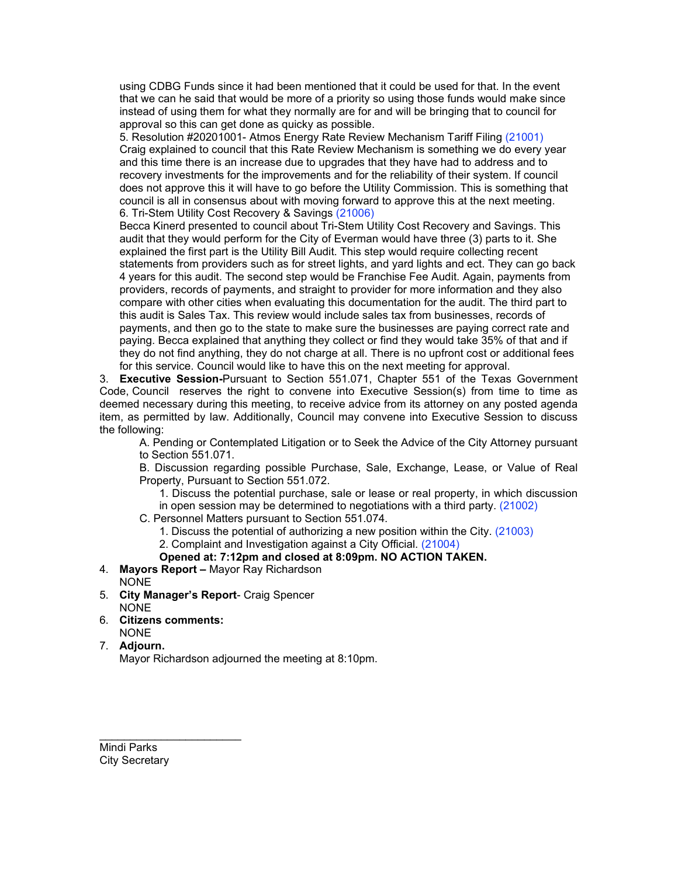using CDBG Funds since it had been mentioned that it could be used for that. In the event that we can he said that would be more of a priority so using those funds would make since instead of using them for what they normally are for and will be bringing that to council for approval so this can get done as quicky as possible.

5. Resolution #20201001- Atmos Energy Rate Review Mechanism Tariff Filing (21001) Craig explained to council that this Rate Review Mechanism is something we do every year and this time there is an increase due to upgrades that they have had to address and to recovery investments for the improvements and for the reliability of their system. If council does not approve this it will have to go before the Utility Commission. This is something that council is all in consensus about with moving forward to approve this at the next meeting. 6. Tri-Stem Utility Cost Recovery & Savings (21006)

Becca Kinerd presented to council about Tri-Stem Utility Cost Recovery and Savings. This audit that they would perform for the City of Everman would have three (3) parts to it. She explained the first part is the Utility Bill Audit. This step would require collecting recent statements from providers such as for street lights, and yard lights and ect. They can go back 4 years for this audit. The second step would be Franchise Fee Audit. Again, payments from providers, records of payments, and straight to provider for more information and they also compare with other cities when evaluating this documentation for the audit. The third part to this audit is Sales Tax. This review would include sales tax from businesses, records of payments, and then go to the state to make sure the businesses are paying correct rate and paying. Becca explained that anything they collect or find they would take 35% of that and if they do not find anything, they do not charge at all. There is no upfront cost or additional fees for this service. Council would like to have this on the next meeting for approval.

3. **Executive Session-**Pursuant to Section 551.071, Chapter 551 of the Texas Government Code, Council reserves the right to convene into Executive Session(s) from time to time as deemed necessary during this meeting, to receive advice from its attorney on any posted agenda item, as permitted by law. Additionally, Council may convene into Executive Session to discuss the following:

A. Pending or Contemplated Litigation or to Seek the Advice of the City Attorney pursuant to Section 551.071.

B. Discussion regarding possible Purchase, Sale, Exchange, Lease, or Value of Real Property, Pursuant to Section 551.072.

1. Discuss the potential purchase, sale or lease or real property, in which discussion

in open session may be determined to negotiations with a third party. (21002)

- C. Personnel Matters pursuant to Section 551.074.
	- 1. Discuss the potential of authorizing a new position within the City. (21003)

### 2. Complaint and Investigation against a City Official. (21004)

### **Opened at: 7:12pm and closed at 8:09pm. NO ACTION TAKEN.**

- 4. **Mayors Report –** Mayor Ray Richardson
- NONE
- 5. **City Manager's Report** Craig Spencer **NONE**
- 6. **Citizens comments:** NONE

\_\_\_\_\_\_\_\_\_\_\_\_\_\_\_\_\_\_\_\_\_\_\_

7. **Adjourn.**

Mayor Richardson adjourned the meeting at 8:10pm.

Mindi Parks City Secretary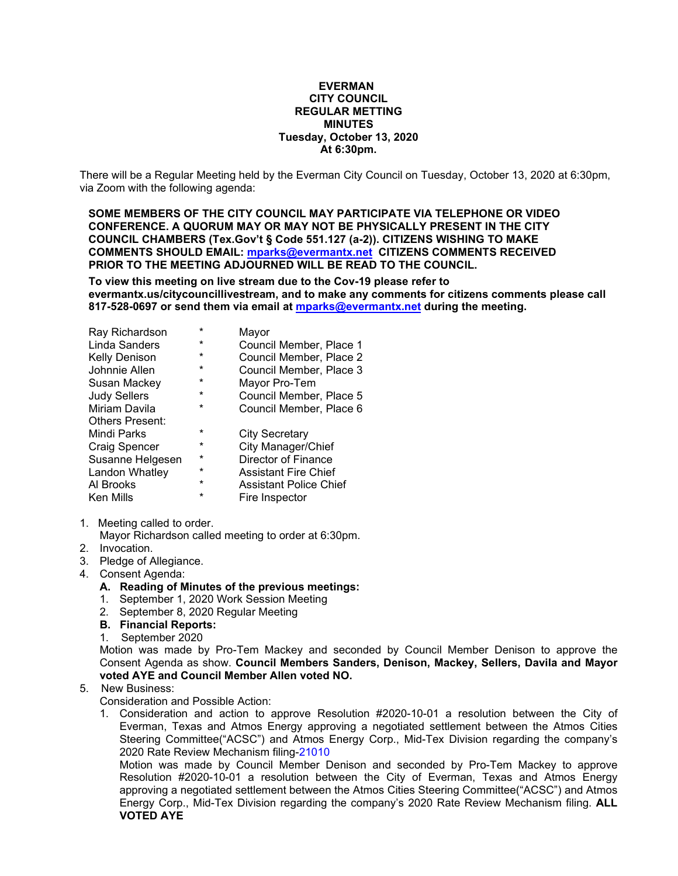#### **EVERMAN CITY COUNCIL REGULAR METTING MINUTES Tuesday, October 13, 2020 At 6:30pm.**

There will be a Regular Meeting held by the Everman City Council on Tuesday, October 13, 2020 at 6:30pm, via Zoom with the following agenda:

**SOME MEMBERS OF THE CITY COUNCIL MAY PARTICIPATE VIA TELEPHONE OR VIDEO CONFERENCE. A QUORUM MAY OR MAY NOT BE PHYSICALLY PRESENT IN THE CITY COUNCIL CHAMBERS (Tex.Gov't § Code 551.127 (a-2)). CITIZENS WISHING TO MAKE COMMENTS SHOULD EMAIL: [mparks@evermantx.net](mailto:mparks@evermantx.net) CITIZENS COMMENTS RECEIVED PRIOR TO THE MEETING ADJOURNED WILL BE READ TO THE COUNCIL.**

**To view this meeting on live stream due to the Cov-19 please refer to evermantx.us/citycouncillivestream, and to make any comments for citizens comments please call 817-528-0697 or send them via email at [mparks@evermantx.net](mailto:mparks@evermantx.net) during the meeting.**

| $\star$ | Mayor                         |
|---------|-------------------------------|
| *       | Council Member, Place 1       |
| *       | Council Member, Place 2       |
| *       | Council Member, Place 3       |
| *       | Mayor Pro-Tem                 |
| *       | Council Member, Place 5       |
| *       | Council Member, Place 6       |
|         |                               |
| $\star$ | City Secretary                |
| $\star$ | City Manager/Chief            |
| *       | <b>Director of Finance</b>    |
| *       | <b>Assistant Fire Chief</b>   |
| $\star$ | <b>Assistant Police Chief</b> |
| *       | Fire Inspector                |
|         |                               |

1. Meeting called to order.

Mayor Richardson called meeting to order at 6:30pm.

- 2. Invocation.
- 3. Pledge of Allegiance.
- 4. Consent Agenda:
	- **A. Reading of Minutes of the previous meetings:**
	- 1. September 1, 2020 Work Session Meeting
	- 2. September 8, 2020 Regular Meeting
	- **B. Financial Reports:**
	- 1. September 2020

Motion was made by Pro-Tem Mackey and seconded by Council Member Denison to approve the Consent Agenda as show. **Council Members Sanders, Denison, Mackey, Sellers, Davila and Mayor voted AYE and Council Member Allen voted NO.** 

### 5. New Business:

Consideration and Possible Action:

1. Consideration and action to approve Resolution #2020-10-01 a resolution between the City of Everman, Texas and Atmos Energy approving a negotiated settlement between the Atmos Cities Steering Committee("ACSC") and Atmos Energy Corp., Mid-Tex Division regarding the company's 2020 Rate Review Mechanism filing-21010

Motion was made by Council Member Denison and seconded by Pro-Tem Mackey to approve Resolution #2020-10-01 a resolution between the City of Everman, Texas and Atmos Energy approving a negotiated settlement between the Atmos Cities Steering Committee("ACSC") and Atmos Energy Corp., Mid-Tex Division regarding the company's 2020 Rate Review Mechanism filing. **ALL VOTED AYE**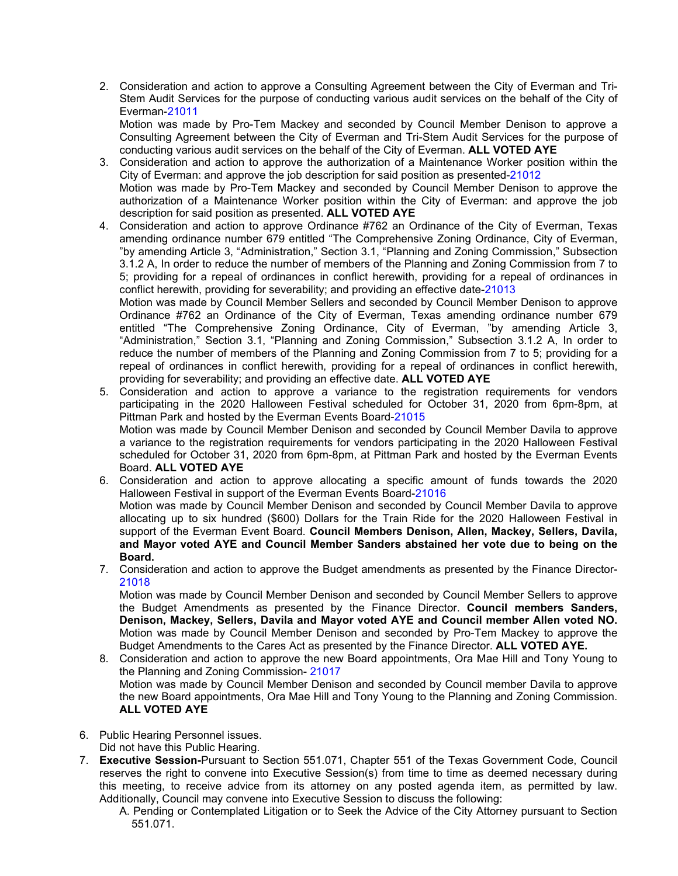2. Consideration and action to approve a Consulting Agreement between the City of Everman and Tri-Stem Audit Services for the purpose of conducting various audit services on the behalf of the City of Everman-21011

Motion was made by Pro-Tem Mackey and seconded by Council Member Denison to approve a Consulting Agreement between the City of Everman and Tri-Stem Audit Services for the purpose of conducting various audit services on the behalf of the City of Everman. **ALL VOTED AYE**

3. Consideration and action to approve the authorization of a Maintenance Worker position within the City of Everman: and approve the job description for said position as presented-21012 Motion was made by Pro-Tem Mackey and seconded by Council Member Denison to approve the

authorization of a Maintenance Worker position within the City of Everman: and approve the job description for said position as presented. **ALL VOTED AYE**

4. Consideration and action to approve Ordinance #762 an Ordinance of the City of Everman, Texas amending ordinance number 679 entitled "The Comprehensive Zoning Ordinance, City of Everman, "by amending Article 3, "Administration," Section 3.1, "Planning and Zoning Commission," Subsection 3.1.2 A, In order to reduce the number of members of the Planning and Zoning Commission from 7 to 5; providing for a repeal of ordinances in conflict herewith, providing for a repeal of ordinances in conflict herewith, providing for severability; and providing an effective date-21013

Motion was made by Council Member Sellers and seconded by Council Member Denison to approve Ordinance #762 an Ordinance of the City of Everman, Texas amending ordinance number 679 entitled "The Comprehensive Zoning Ordinance, City of Everman, "by amending Article 3, "Administration," Section 3.1, "Planning and Zoning Commission," Subsection 3.1.2 A, In order to reduce the number of members of the Planning and Zoning Commission from 7 to 5; providing for a repeal of ordinances in conflict herewith, providing for a repeal of ordinances in conflict herewith, providing for severability; and providing an effective date. **ALL VOTED AYE**

- 5. Consideration and action to approve a variance to the registration requirements for vendors participating in the 2020 Halloween Festival scheduled for October 31, 2020 from 6pm-8pm, at Pittman Park and hosted by the Everman Events Board-21015 Motion was made by Council Member Denison and seconded by Council Member Davila to approve a variance to the registration requirements for vendors participating in the 2020 Halloween Festival scheduled for October 31, 2020 from 6pm-8pm, at Pittman Park and hosted by the Everman Events Board. **ALL VOTED AYE**
- 6. Consideration and action to approve allocating a specific amount of funds towards the 2020 Halloween Festival in support of the Everman Events Board-21016 Motion was made by Council Member Denison and seconded by Council Member Davila to approve allocating up to six hundred (\$600) Dollars for the Train Ride for the 2020 Halloween Festival in support of the Everman Event Board. **Council Members Denison, Allen, Mackey, Sellers, Davila, and Mayor voted AYE and Council Member Sanders abstained her vote due to being on the Board.**
- 7. Consideration and action to approve the Budget amendments as presented by the Finance Director-21018

Motion was made by Council Member Denison and seconded by Council Member Sellers to approve the Budget Amendments as presented by the Finance Director. **Council members Sanders, Denison, Mackey, Sellers, Davila and Mayor voted AYE and Council member Allen voted NO.** Motion was made by Council Member Denison and seconded by Pro-Tem Mackey to approve the Budget Amendments to the Cares Act as presented by the Finance Director. **ALL VOTED AYE.**

8. Consideration and action to approve the new Board appointments, Ora Mae Hill and Tony Young to the Planning and Zoning Commission- 21017 Motion was made by Council Member Denison and seconded by Council member Davila to approve the new Board appointments, Ora Mae Hill and Tony Young to the Planning and Zoning Commission. **ALL VOTED AYE**

6. Public Hearing Personnel issues.

- Did not have this Public Hearing.
- 7. **Executive Session-**Pursuant to Section 551.071, Chapter 551 of the Texas Government Code, Council reserves the right to convene into Executive Session(s) from time to time as deemed necessary during this meeting, to receive advice from its attorney on any posted agenda item, as permitted by law. Additionally, Council may convene into Executive Session to discuss the following:
	- A. Pending or Contemplated Litigation or to Seek the Advice of the City Attorney pursuant to Section 551.071.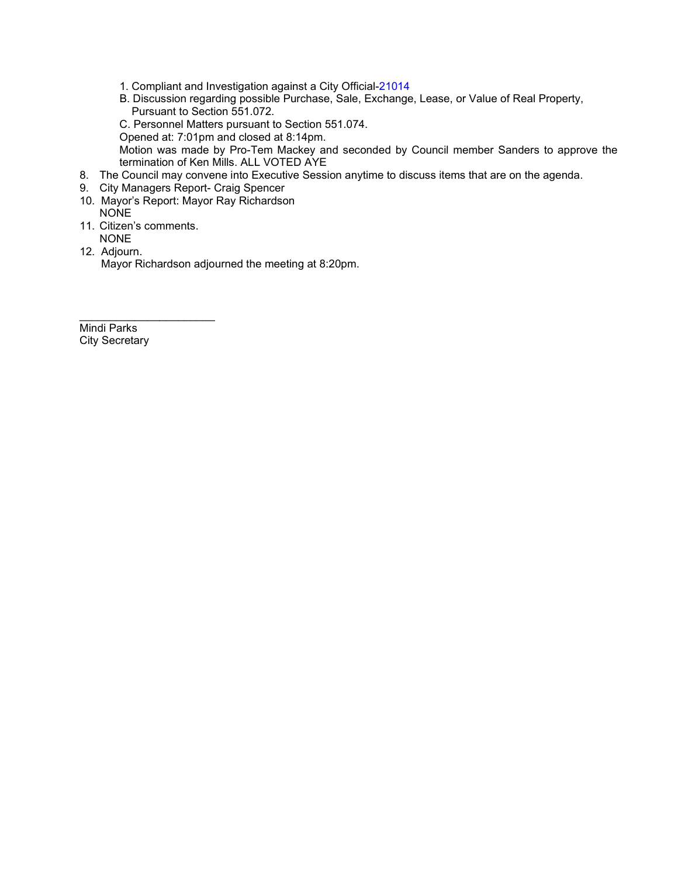- 1. Compliant and Investigation against a City Official-21014
- B. Discussion regarding possible Purchase, Sale, Exchange, Lease, or Value of Real Property, Pursuant to Section 551.072.
- C. Personnel Matters pursuant to Section 551.074.
- Opened at: 7:01pm and closed at 8:14pm.

Motion was made by Pro-Tem Mackey and seconded by Council member Sanders to approve the termination of Ken Mills. ALL VOTED AYE

- 8. The Council may convene into Executive Session anytime to discuss items that are on the agenda.
- 9. City Managers Report- Craig Spencer
- 10. Mayor's Report: Mayor Ray Richardson NONE
- 11. Citizen's comments. NONE

\_\_\_\_\_\_\_\_\_\_\_\_\_\_\_\_\_\_\_\_\_\_

12. Adjourn.

Mayor Richardson adjourned the meeting at 8:20pm.

Mindi Parks City Secretary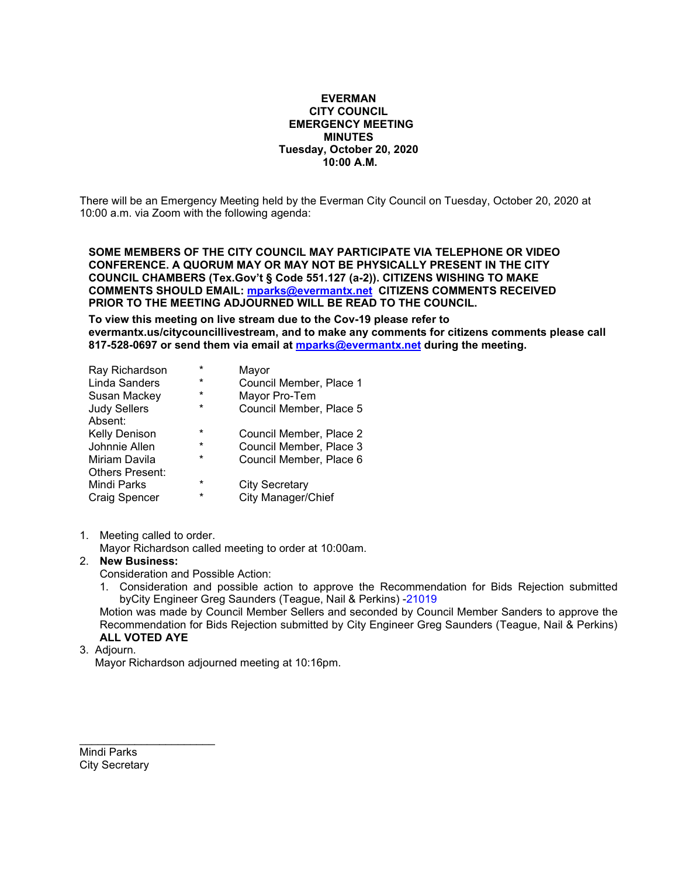#### **EVERMAN CITY COUNCIL EMERGENCY MEETING MINUTES Tuesday, October 20, 2020 10:00 A.M.**

There will be an Emergency Meeting held by the Everman City Council on Tuesday, October 20, 2020 at 10:00 a.m. via Zoom with the following agenda:

**SOME MEMBERS OF THE CITY COUNCIL MAY PARTICIPATE VIA TELEPHONE OR VIDEO CONFERENCE. A QUORUM MAY OR MAY NOT BE PHYSICALLY PRESENT IN THE CITY COUNCIL CHAMBERS (Tex.Gov't § Code 551.127 (a-2)). CITIZENS WISHING TO MAKE COMMENTS SHOULD EMAIL: [mparks@evermantx.net](mailto:mparks@evermantx.net) CITIZENS COMMENTS RECEIVED PRIOR TO THE MEETING ADJOURNED WILL BE READ TO THE COUNCIL.**

**To view this meeting on live stream due to the Cov-19 please refer to evermantx.us/citycouncillivestream, and to make any comments for citizens comments please call 817-528-0697 or send them via email at [mparks@evermantx.net](mailto:mparks@evermantx.net) during the meeting.**

| Ray Richardson         | $\star$ | Mayor                   |
|------------------------|---------|-------------------------|
| <b>Linda Sanders</b>   | $\ast$  | Council Member, Place 1 |
| Susan Mackey           | *       | Mayor Pro-Tem           |
| <b>Judy Sellers</b>    | *       | Council Member, Place 5 |
| Absent:                |         |                         |
| <b>Kelly Denison</b>   | $\star$ | Council Member, Place 2 |
| Johnnie Allen          | $\ast$  | Council Member, Place 3 |
| Miriam Davila          | $\star$ | Council Member, Place 6 |
| <b>Others Present:</b> |         |                         |
| Mindi Parks            | *       | <b>City Secretary</b>   |
| <b>Craig Spencer</b>   | *       | City Manager/Chief      |

1. Meeting called to order.

Mayor Richardson called meeting to order at 10:00am.

### 2. **New Business:**

Consideration and Possible Action:

1. Consideration and possible action to approve the Recommendation for Bids Rejection submitted byCity Engineer Greg Saunders (Teague, Nail & Perkins) -21019

Motion was made by Council Member Sellers and seconded by Council Member Sanders to approve the Recommendation for Bids Rejection submitted by City Engineer Greg Saunders (Teague, Nail & Perkins) **ALL VOTED AYE**

#### 3. Adjourn.

Mayor Richardson adjourned meeting at 10:16pm.

Mindi Parks City Secretary

\_\_\_\_\_\_\_\_\_\_\_\_\_\_\_\_\_\_\_\_\_\_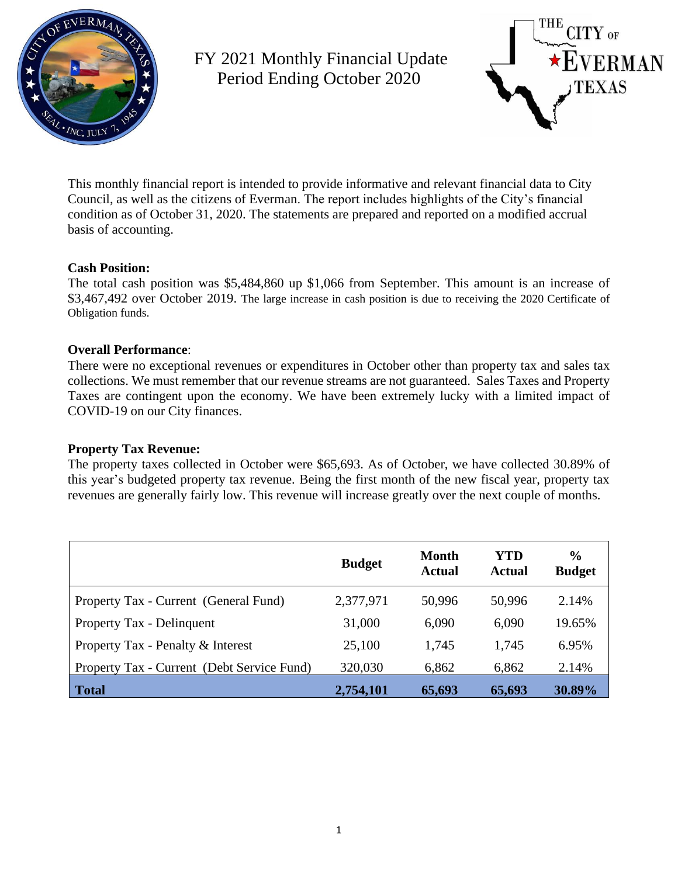

FY 2021 Monthly Financial Update Period Ending October 2020



This monthly financial report is intended to provide informative and relevant financial data to City Council, as well as the citizens of Everman. The report includes highlights of the City's financial condition as of October 31, 2020. The statements are prepared and reported on a modified accrual basis of accounting.

## **Cash Position:**

The total cash position was \$5,484,860 up \$1,066 from September. This amount is an increase of \$3,467,492 over October 2019. The large increase in cash position is due to receiving the 2020 Certificate of Obligation funds.

## **Overall Performance**:

There were no exceptional revenues or expenditures in October other than property tax and sales tax collections. We must remember that our revenue streams are not guaranteed. Sales Taxes and Property Taxes are contingent upon the economy. We have been extremely lucky with a limited impact of COVID-19 on our City finances.

### **Property Tax Revenue:**

The property taxes collected in October were \$65,693. As of October, we have collected 30.89% of this year's budgeted property tax revenue. Being the first month of the new fiscal year, property tax revenues are generally fairly low. This revenue will increase greatly over the next couple of months.

|                                            | <b>Budget</b> | <b>Month</b><br><b>Actual</b> | YTD<br><b>Actual</b> | $\frac{0}{0}$<br><b>Budget</b> |
|--------------------------------------------|---------------|-------------------------------|----------------------|--------------------------------|
| Property Tax - Current (General Fund)      | 2,377,971     | 50,996                        | 50,996               | 2.14%                          |
| Property Tax - Delinquent                  | 31,000        | 6,090                         | 6,090                | 19.65%                         |
| Property Tax - Penalty & Interest          | 25,100        | 1,745                         | 1,745                | 6.95%                          |
| Property Tax - Current (Debt Service Fund) | 320,030       | 6,862                         | 6,862                | 2.14%                          |
| <b>Total</b>                               | 2,754,101     | 65,693                        | 65,693               | 30.89%                         |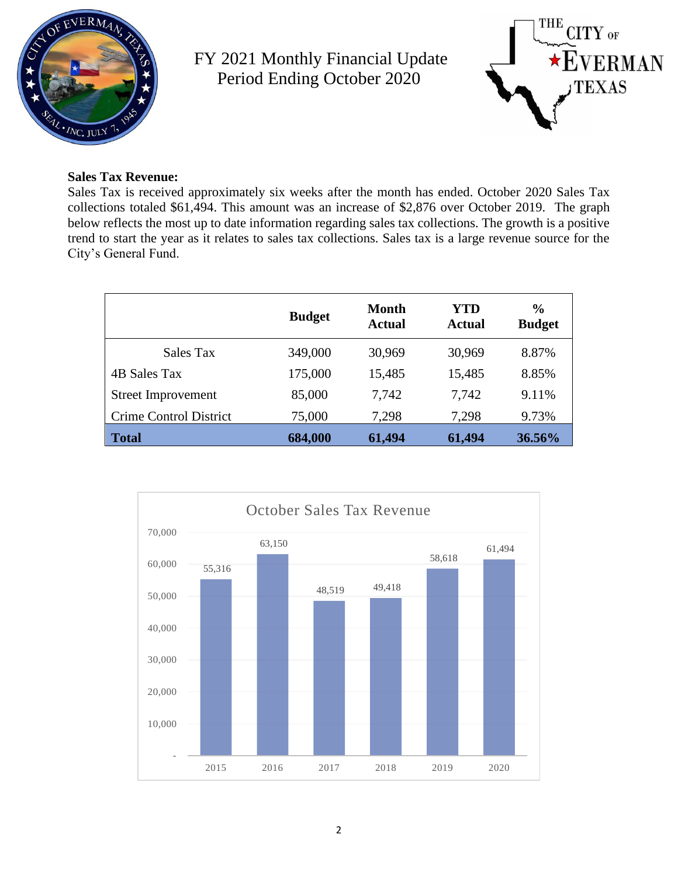

FY 2021 Monthly Financial Update Period Ending October 2020



## **Sales Tax Revenue:**

Sales Tax is received approximately six weeks after the month has ended. October 2020 Sales Tax collections totaled \$61,494. This amount was an increase of \$2,876 over October 2019. The graph below reflects the most up to date information regarding sales tax collections. The growth is a positive trend to start the year as it relates to sales tax collections. Sales tax is a large revenue source for the City's General Fund.

|                           | <b>Budget</b> | Month<br><b>Actual</b> | YTD<br>Actual | $\frac{0}{0}$<br><b>Budget</b> |
|---------------------------|---------------|------------------------|---------------|--------------------------------|
| Sales Tax                 | 349,000       | 30,969                 | 30,969        | 8.87%                          |
| 4B Sales Tax              | 175,000       | 15,485                 | 15,485        | 8.85%                          |
| <b>Street Improvement</b> | 85,000        | 7.742                  | 7,742         | 9.11%                          |
| Crime Control District    | 75,000        | 7,298                  | 7,298         | 9.73%                          |
| <b>Total</b>              | 684,000       | 61,494                 | 61,494        | 36.56%                         |

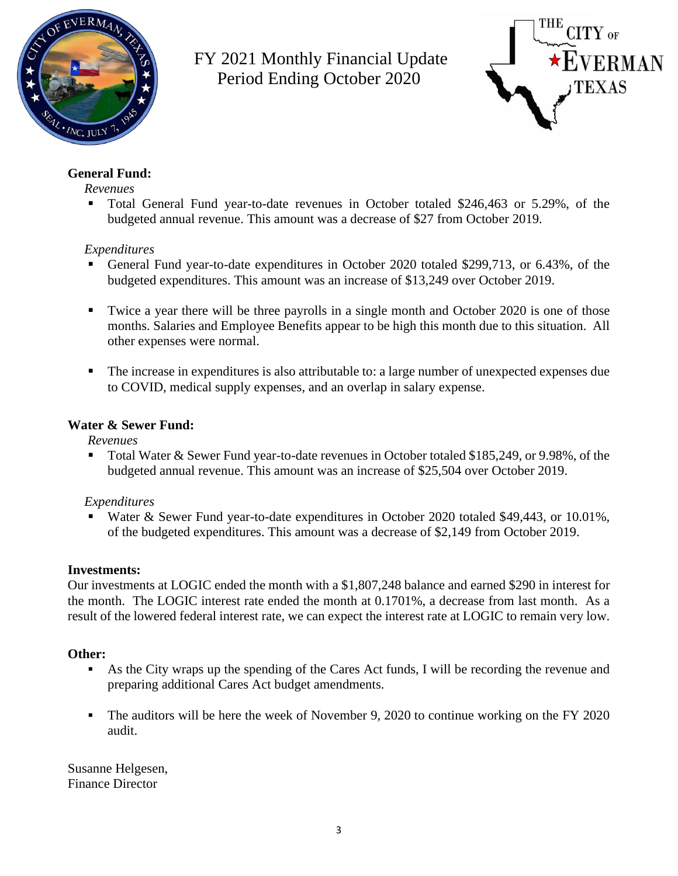

FY 2021 Monthly Financial Update Period Ending October 2020



# **General Fund:**

## *Revenues*

▪ Total General Fund year-to-date revenues in October totaled \$246,463 or 5.29%, of the budgeted annual revenue. This amount was a decrease of \$27 from October 2019.

## *Expenditures*

- General Fund year-to-date expenditures in October 2020 totaled \$299,713, or 6.43%, of the budgeted expenditures. This amount was an increase of \$13,249 over October 2019.
- Twice a year there will be three payrolls in a single month and October 2020 is one of those months. Salaries and Employee Benefits appear to be high this month due to this situation. All other expenses were normal.
- The increase in expenditures is also attributable to: a large number of unexpected expenses due to COVID, medical supply expenses, and an overlap in salary expense.

## **Water & Sewer Fund:**

*Revenues*

■ Total Water & Sewer Fund year-to-date revenues in October totaled \$185,249, or 9.98%, of the budgeted annual revenue. This amount was an increase of \$25,504 over October 2019.

## *Expenditures*

Water & Sewer Fund year-to-date expenditures in October 2020 totaled \$49,443, or 10.01%, of the budgeted expenditures. This amount was a decrease of \$2,149 from October 2019.

## **Investments:**

Our investments at LOGIC ended the month with a \$1,807,248 balance and earned \$290 in interest for the month. The LOGIC interest rate ended the month at 0.1701%, a decrease from last month. As a result of the lowered federal interest rate, we can expect the interest rate at LOGIC to remain very low.

# **Other:**

- As the City wraps up the spending of the Cares Act funds, I will be recording the revenue and preparing additional Cares Act budget amendments.
- The auditors will be here the week of November 9, 2020 to continue working on the FY 2020 audit.

Susanne Helgesen, Finance Director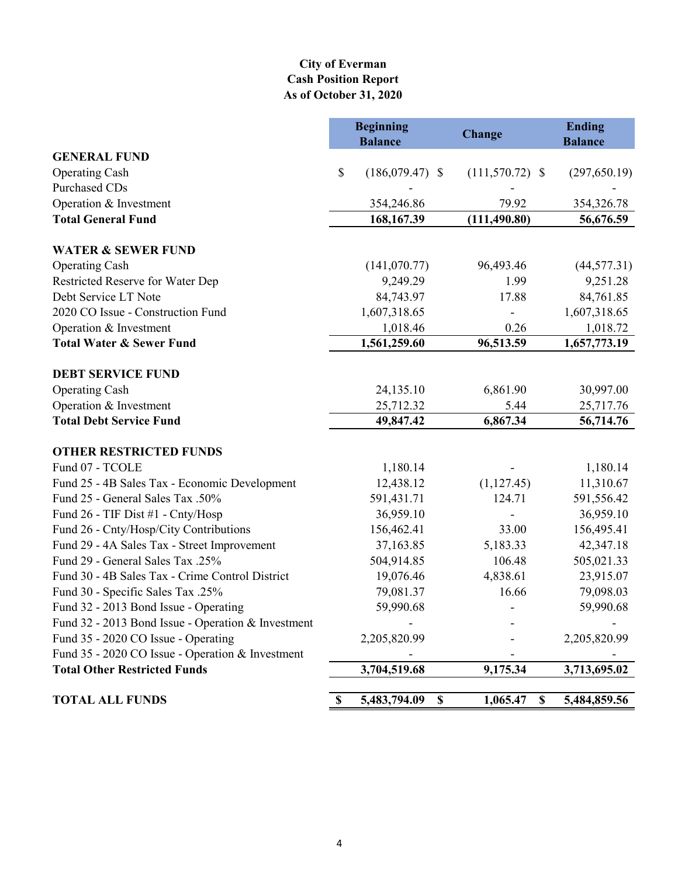## **City of Everman Cash Position Report As of October 31, 2020**

|                                                    | <b>Beginning</b><br><b>Balance</b> | <b>Change</b>     |               | <b>Ending</b><br><b>Balance</b> |
|----------------------------------------------------|------------------------------------|-------------------|---------------|---------------------------------|
| <b>GENERAL FUND</b>                                |                                    |                   |               |                                 |
| <b>Operating Cash</b>                              | \$<br>$(186,079.47)$ \$            | $(111,570.72)$ \$ |               | (297, 650.19)                   |
| Purchased CDs                                      |                                    |                   |               |                                 |
| Operation & Investment                             | 354,246.86                         | 79.92             |               | 354,326.78                      |
| <b>Total General Fund</b>                          | 168, 167.39                        | (111, 490.80)     |               | 56,676.59                       |
| <b>WATER &amp; SEWER FUND</b>                      |                                    |                   |               |                                 |
| <b>Operating Cash</b>                              | (141,070.77)                       | 96,493.46         |               | (44, 577.31)                    |
| Restricted Reserve for Water Dep                   | 9,249.29                           | 1.99              |               | 9,251.28                        |
| Debt Service LT Note                               | 84,743.97                          | 17.88             |               | 84,761.85                       |
| 2020 CO Issue - Construction Fund                  | 1,607,318.65                       |                   |               | 1,607,318.65                    |
| Operation & Investment                             | 1,018.46                           | 0.26              |               | 1,018.72                        |
| <b>Total Water &amp; Sewer Fund</b>                | 1,561,259.60                       | 96,513.59         |               | 1,657,773.19                    |
|                                                    |                                    |                   |               |                                 |
| <b>DEBT SERVICE FUND</b>                           |                                    |                   |               |                                 |
| <b>Operating Cash</b>                              | 24,135.10                          | 6,861.90          |               | 30,997.00                       |
| Operation & Investment                             | 25,712.32                          | 5.44              |               | 25,717.76                       |
| <b>Total Debt Service Fund</b>                     | 49,847.42                          | 6,867.34          |               | 56,714.76                       |
| <b>OTHER RESTRICTED FUNDS</b>                      |                                    |                   |               |                                 |
| Fund 07 - TCOLE                                    | 1,180.14                           |                   |               | 1,180.14                        |
| Fund 25 - 4B Sales Tax - Economic Development      | 12,438.12                          | (1,127.45)        |               | 11,310.67                       |
| Fund 25 - General Sales Tax .50%                   | 591,431.71                         | 124.71            |               | 591,556.42                      |
| Fund 26 - TIF Dist #1 - Cnty/Hosp                  | 36,959.10                          |                   |               | 36,959.10                       |
| Fund 26 - Cnty/Hosp/City Contributions             | 156,462.41                         | 33.00             |               | 156,495.41                      |
| Fund 29 - 4A Sales Tax - Street Improvement        | 37,163.85                          | 5,183.33          |               | 42,347.18                       |
| Fund 29 - General Sales Tax .25%                   | 504,914.85                         | 106.48            |               | 505,021.33                      |
| Fund 30 - 4B Sales Tax - Crime Control District    | 19,076.46                          | 4,838.61          |               | 23,915.07                       |
| Fund 30 - Specific Sales Tax .25%                  | 79,081.37                          | 16.66             |               | 79,098.03                       |
| Fund 32 - 2013 Bond Issue - Operating              | 59,990.68                          |                   |               | 59,990.68                       |
| Fund 32 - 2013 Bond Issue - Operation & Investment |                                    |                   |               |                                 |
| Fund 35 - 2020 CO Issue - Operating                | 2,205,820.99                       |                   |               | 2,205,820.99                    |
| Fund 35 - 2020 CO Issue - Operation & Investment   |                                    |                   |               |                                 |
| <b>Total Other Restricted Funds</b>                | 3,704,519.68                       | 9,175.34          |               | 3,713,695.02                    |
| <b>TOTAL ALL FUNDS</b>                             | \$<br>5,483,794.09                 | \$<br>1,065.47    | $\mathbf{\$}$ | 5,484,859.56                    |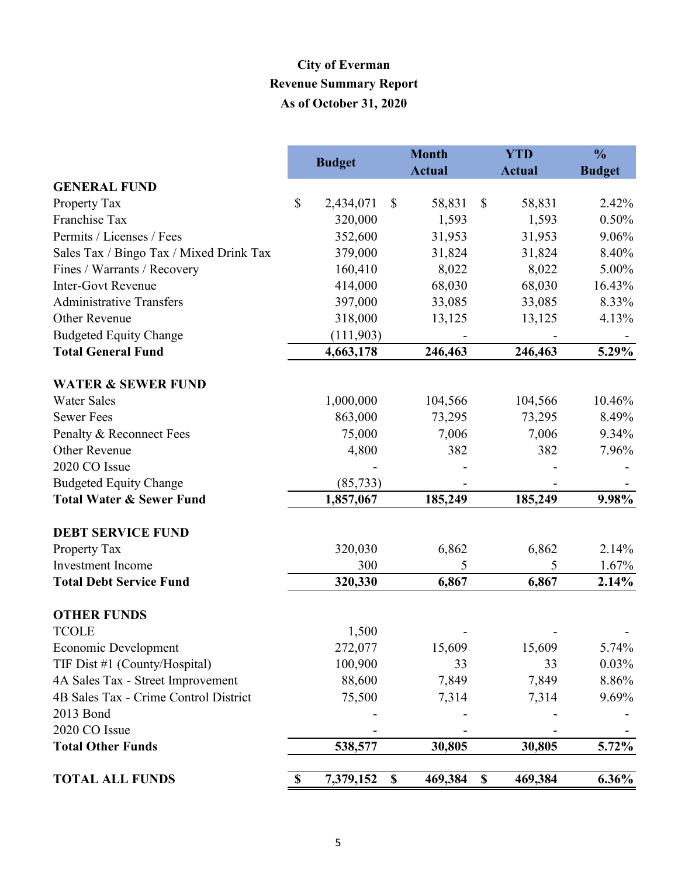# **City of Everman Revenue Summary Report As of October 31, 2020**

|                                         |    |               | <b>Month</b>              |               | <b>YTD</b>                |               | $\frac{0}{0}$ |
|-----------------------------------------|----|---------------|---------------------------|---------------|---------------------------|---------------|---------------|
|                                         |    | <b>Budget</b> |                           | <b>Actual</b> |                           | <b>Actual</b> | <b>Budget</b> |
| <b>GENERAL FUND</b>                     |    |               |                           |               |                           |               |               |
| Property Tax                            | \$ | 2,434,071     | $\boldsymbol{\mathsf{S}}$ | 58,831        | \$                        | 58,831        | 2.42%         |
| Franchise Tax                           |    | 320,000       |                           | 1,593         |                           | 1,593         | 0.50%         |
| Permits / Licenses / Fees               |    | 352,600       |                           | 31,953        |                           | 31,953        | 9.06%         |
| Sales Tax / Bingo Tax / Mixed Drink Tax |    | 379,000       |                           | 31,824        |                           | 31,824        | 8.40%         |
| Fines / Warrants / Recovery             |    | 160,410       |                           | 8,022         |                           | 8,022         | 5.00%         |
| <b>Inter-Govt Revenue</b>               |    | 414,000       |                           | 68,030        |                           | 68,030        | 16.43%        |
| <b>Administrative Transfers</b>         |    | 397,000       |                           | 33,085        |                           | 33,085        | 8.33%         |
| Other Revenue                           |    | 318,000       |                           | 13,125        |                           | 13,125        | 4.13%         |
| <b>Budgeted Equity Change</b>           |    | (111,903)     |                           |               |                           |               |               |
| <b>Total General Fund</b>               |    | 4,663,178     |                           | 246,463       |                           | 246,463       | 5.29%         |
| <b>WATER &amp; SEWER FUND</b>           |    |               |                           |               |                           |               |               |
| <b>Water Sales</b>                      |    | 1,000,000     |                           | 104,566       |                           | 104,566       | 10.46%        |
| <b>Sewer Fees</b>                       |    | 863,000       |                           | 73,295        |                           | 73,295        | 8.49%         |
| Penalty & Reconnect Fees                |    | 75,000        |                           | 7,006         |                           | 7,006         | 9.34%         |
| Other Revenue                           |    | 4,800         |                           | 382           |                           | 382           | 7.96%         |
| 2020 CO Issue                           |    |               |                           |               |                           |               |               |
| <b>Budgeted Equity Change</b>           |    | (85, 733)     |                           |               |                           |               |               |
| <b>Total Water &amp; Sewer Fund</b>     |    | 1,857,067     |                           | 185,249       |                           | 185,249       | 9.98%         |
| <b>DEBT SERVICE FUND</b>                |    |               |                           |               |                           |               |               |
| Property Tax                            |    | 320,030       |                           | 6,862         |                           | 6,862         | 2.14%         |
| <b>Investment</b> Income                |    | 300           |                           | 5             |                           | 5             | 1.67%         |
| <b>Total Debt Service Fund</b>          |    | 320,330       |                           | 6,867         |                           | 6,867         | 2.14%         |
| <b>OTHER FUNDS</b>                      |    |               |                           |               |                           |               |               |
| <b>TCOLE</b>                            |    | 1,500         |                           |               |                           |               |               |
| Economic Development                    |    | 272,077       |                           | 15,609        |                           | 15,609        | 5.74%         |
| TIF Dist #1 (County/Hospital)           |    | 100,900       |                           | 33            |                           | 33            | 0.03%         |
| 4A Sales Tax - Street Improvement       |    | 88,600        |                           | 7,849         |                           | 7,849         | 8.86%         |
| 4B Sales Tax - Crime Control District   |    | 75,500        |                           | 7,314         |                           | 7,314         | 9.69%         |
| 2013 Bond                               |    |               |                           |               |                           |               |               |
| 2020 CO Issue                           |    |               |                           |               |                           |               |               |
| <b>Total Other Funds</b>                |    | 538,577       |                           | 30,805        |                           | 30,805        | 5.72%         |
| <b>TOTAL ALL FUNDS</b>                  | \$ | 7,379,152     | $\boldsymbol{\mathsf{S}}$ | 469,384       | $\boldsymbol{\mathsf{S}}$ | 469,384       | $6.36\%$      |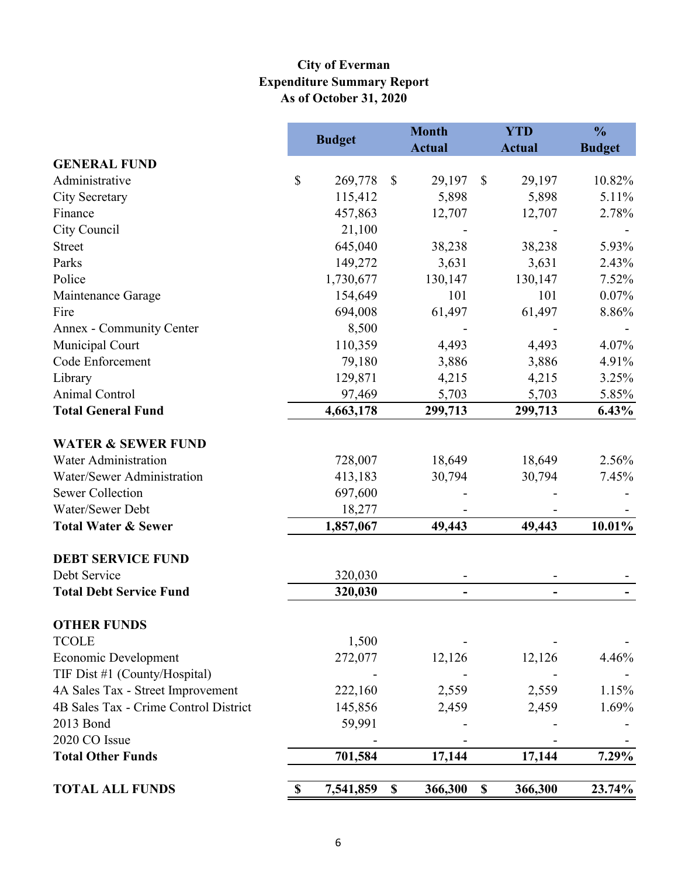# **Expenditure Summary Report As of October 31, 2020 City of Everman**

|                                       | <b>Budget</b>   |                           | <b>Month</b>  |                           | <b>YTD</b>                   | $\frac{0}{0}$ |
|---------------------------------------|-----------------|---------------------------|---------------|---------------------------|------------------------------|---------------|
| <b>GENERAL FUND</b>                   |                 |                           | <b>Actual</b> |                           | <b>Actual</b>                | <b>Budget</b> |
| Administrative                        | \$<br>269,778   | $\boldsymbol{\mathsf{S}}$ | 29,197        | $\mathbb{S}$              | 29,197                       | 10.82%        |
| City Secretary                        | 115,412         |                           | 5,898         |                           | 5,898                        | 5.11%         |
| Finance                               | 457,863         |                           | 12,707        |                           | 12,707                       | 2.78%         |
| City Council                          | 21,100          |                           |               |                           |                              |               |
| <b>Street</b>                         | 645,040         |                           | 38,238        |                           | 38,238                       | 5.93%         |
| Parks                                 | 149,272         |                           | 3,631         |                           | 3,631                        | 2.43%         |
| Police                                | 1,730,677       |                           | 130,147       |                           | 130,147                      | 7.52%         |
| Maintenance Garage                    | 154,649         |                           | 101           |                           | 101                          | 0.07%         |
| Fire                                  | 694,008         |                           | 61,497        |                           | 61,497                       | 8.86%         |
| Annex - Community Center              | 8,500           |                           |               |                           |                              |               |
| Municipal Court                       | 110,359         |                           | 4,493         |                           | 4,493                        | 4.07%         |
| Code Enforcement                      | 79,180          |                           | 3,886         |                           | 3,886                        | 4.91%         |
| Library                               | 129,871         |                           | 4,215         |                           | 4,215                        | 3.25%         |
| Animal Control                        | 97,469          |                           | 5,703         |                           | 5,703                        | 5.85%         |
| <b>Total General Fund</b>             | 4,663,178       |                           | 299,713       |                           | 299,713                      | 6.43%         |
| <b>WATER &amp; SEWER FUND</b>         |                 |                           |               |                           |                              |               |
| <b>Water Administration</b>           | 728,007         |                           | 18,649        |                           | 18,649                       | 2.56%         |
| Water/Sewer Administration            | 413,183         |                           | 30,794        |                           | 30,794                       | 7.45%         |
| <b>Sewer Collection</b>               | 697,600         |                           |               |                           |                              |               |
| Water/Sewer Debt                      | 18,277          |                           |               |                           |                              |               |
| <b>Total Water &amp; Sewer</b>        | 1,857,067       |                           | 49,443        |                           | 49,443                       | 10.01%        |
| <b>DEBT SERVICE FUND</b>              |                 |                           |               |                           |                              |               |
| Debt Service                          | 320,030         |                           |               |                           |                              |               |
| <b>Total Debt Service Fund</b>        | 320,030         |                           |               |                           | $\qquad \qquad \blacksquare$ |               |
| <b>OTHER FUNDS</b>                    |                 |                           |               |                           |                              |               |
| <b>TCOLE</b>                          | 1,500           |                           |               |                           |                              |               |
| Economic Development                  | 272,077         |                           | 12,126        |                           | 12,126                       | 4.46%         |
| TIF Dist #1 (County/Hospital)         |                 |                           |               |                           |                              |               |
| 4A Sales Tax - Street Improvement     | 222,160         |                           | 2,559         |                           | 2,559                        | 1.15%         |
| 4B Sales Tax - Crime Control District | 145,856         |                           | 2,459         |                           | 2,459                        | 1.69%         |
| 2013 Bond                             | 59,991          |                           |               |                           |                              |               |
| 2020 CO Issue                         |                 |                           |               |                           |                              |               |
| <b>Total Other Funds</b>              | 701,584         |                           | 17,144        |                           | 17,144                       | 7.29%         |
| <b>TOTAL ALL FUNDS</b>                | \$<br>7,541,859 | $\boldsymbol{\mathsf{S}}$ | 366,300       | $\boldsymbol{\mathsf{S}}$ | 366,300                      | 23.74%        |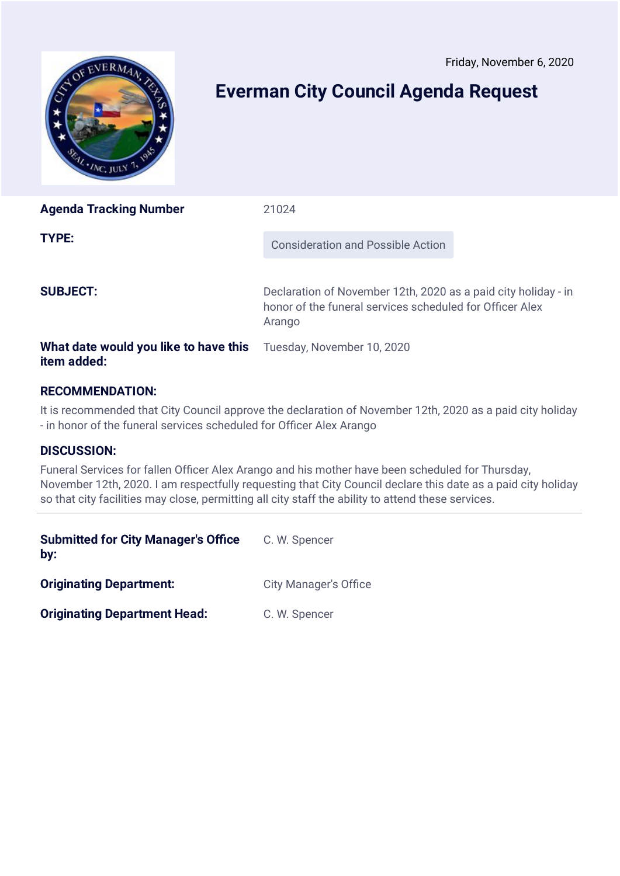<span id="page-15-0"></span>

# **Everman City Council Agenda Request**

| <b>Agenda Tracking Number</b>                                                          | 21024                                                                                                                                |
|----------------------------------------------------------------------------------------|--------------------------------------------------------------------------------------------------------------------------------------|
| TYPE:                                                                                  | <b>Consideration and Possible Action</b>                                                                                             |
| <b>SUBJECT:</b>                                                                        | Declaration of November 12th, 2020 as a paid city holiday - in<br>honor of the funeral services scheduled for Officer Alex<br>Arango |
| <b>What date would you like to have this</b> Tuesday, November 10, 2020<br>item added: |                                                                                                                                      |

# **RECOMMENDATION:**

It is recommended that City Council approve the declaration of November 12th, 2020 as a paid city holiday - in honor of the funeral services scheduled for Officer Alex Arango

## **DISCUSSION:**

Funeral Services for fallen Officer Alex Arango and his mother have been scheduled for Thursday, November 12th, 2020. I am respectfully requesting that City Council declare this date as a paid city holiday so that city facilities may close, permitting all city staff the ability to attend these services.

| <b>Submitted for City Manager's Office</b><br>by: | C. W. Spencer                |
|---------------------------------------------------|------------------------------|
| <b>Originating Department:</b>                    | <b>City Manager's Office</b> |
| <b>Originating Department Head:</b>               | C. W. Spencer                |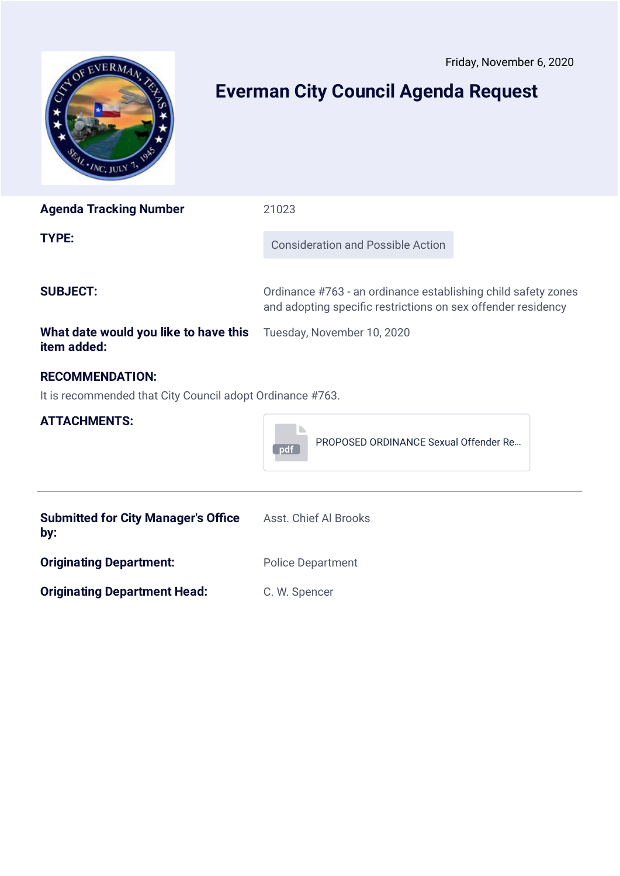<span id="page-16-0"></span>

# **Everman City Council Agenda Request**

| <b>Agenda Tracking Number</b>                                                       | 21023                                                                                                                         |  |  |  |  |  |
|-------------------------------------------------------------------------------------|-------------------------------------------------------------------------------------------------------------------------------|--|--|--|--|--|
| <b>TYPE:</b>                                                                        | <b>Consideration and Possible Action</b>                                                                                      |  |  |  |  |  |
| <b>SUBJECT:</b>                                                                     | Ordinance #763 - an ordinance establishing child safety zones<br>and adopting specific restrictions on sex offender residency |  |  |  |  |  |
| What date would you like to have this<br>item added:                                | Tuesday, November 10, 2020                                                                                                    |  |  |  |  |  |
| <b>RECOMMENDATION:</b><br>It is recommended that City Council adopt Ordinance #763. |                                                                                                                               |  |  |  |  |  |
| <b>ATTACHMENTS:</b>                                                                 | PROPOSED ORDINANCE Sexual Offender Re<br>pdf                                                                                  |  |  |  |  |  |
| <b>Submitted for City Manager's Office</b><br>by:                                   | Asst. Chief Al Brooks                                                                                                         |  |  |  |  |  |
| <b>Originating Department:</b>                                                      | <b>Police Department</b>                                                                                                      |  |  |  |  |  |
| <b>Originating Department Head:</b>                                                 | C. W. Spencer                                                                                                                 |  |  |  |  |  |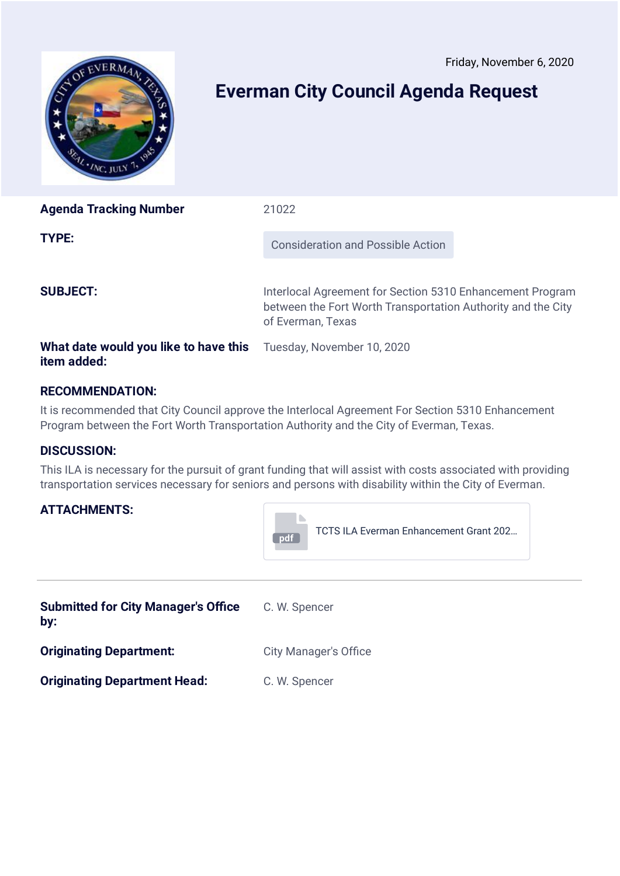<span id="page-17-0"></span>

# **Everman City Council Agenda Request**

| <b>Agenda Tracking Number</b>         | 21022                                                                                                                                          |
|---------------------------------------|------------------------------------------------------------------------------------------------------------------------------------------------|
| TYPE:                                 | Consideration and Possible Action                                                                                                              |
| <b>SUBJECT:</b>                       | Interlocal Agreement for Section 5310 Enhancement Program<br>between the Fort Worth Transportation Authority and the City<br>of Everman, Texas |
| What date would you like to have this | Tuesday, November 10, 2020                                                                                                                     |

# **RECOMMENDATION:**

It is recommended that City Council approve the Interlocal Agreement For Section 5310 Enhancement Program between the Fort Worth Transportation Authority and the City of Everman, Texas.

## **DISCUSSION:**

**item added:**

This ILA is necessary for the pursuit of grant funding that will assist with costs associated with providing transportation services necessary for seniors and persons with disability within the City of Everman.

## **ATTACHMENTS:**

![](_page_17_Picture_9.jpeg)

| <b>Submitted for City Manager's Office</b><br>by: | C. W. Spencer                |
|---------------------------------------------------|------------------------------|
| <b>Originating Department:</b>                    | <b>City Manager's Office</b> |
| <b>Originating Department Head:</b>               | C. W. Spencer                |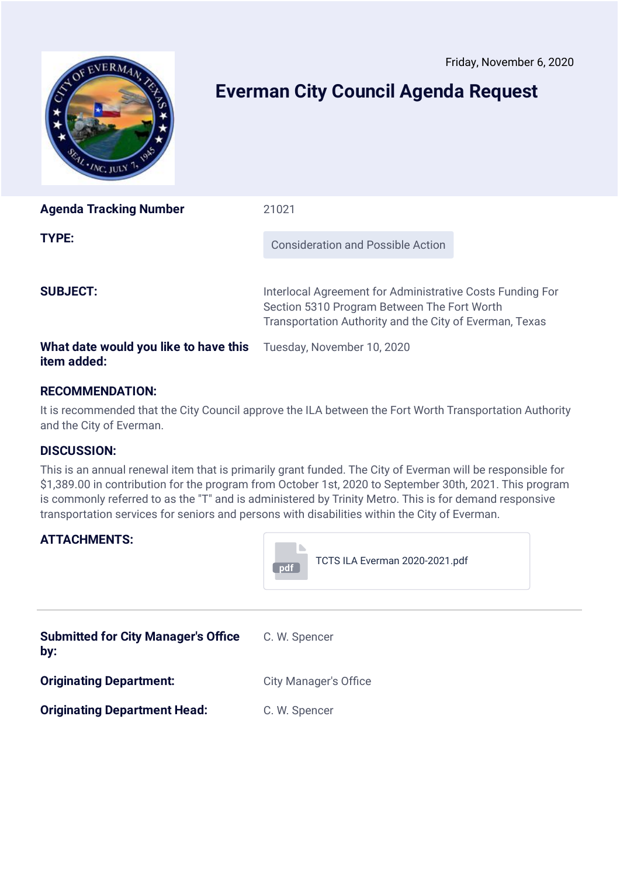<span id="page-18-0"></span>![](_page_18_Picture_1.jpeg)

# **Everman City Council Agenda Request**

| <b>Agenda Tracking Number</b>                        | 21021                                                                                                                                                               |
|------------------------------------------------------|---------------------------------------------------------------------------------------------------------------------------------------------------------------------|
| TYPE:                                                | <b>Consideration and Possible Action</b>                                                                                                                            |
| <b>SUBJECT:</b>                                      | Interlocal Agreement for Administrative Costs Funding For<br>Section 5310 Program Between The Fort Worth<br>Transportation Authority and the City of Everman, Texas |
| What date would you like to have this<br>item added: | Tuesday, November 10, 2020                                                                                                                                          |

# **RECOMMENDATION:**

It is recommended that the City Council approve the ILA between the Fort Worth Transportation Authority and the City of Everman.

## **DISCUSSION:**

This is an annual renewal item that is primarily grant funded. The City of Everman will be responsible for \$1,389.00 in contribution for the program from October 1st, 2020 to September 30th, 2021. This program is commonly referred to as the "T" and is administered by Trinity Metro. This is for demand responsive transportation services for seniors and persons with disabilities within the City of Everman.

# **ATTACHMENTS:**

![](_page_18_Picture_9.jpeg)

| <b>Submitted for City Manager's Office</b><br>by: | C. W. Spencer                |
|---------------------------------------------------|------------------------------|
| <b>Originating Department:</b>                    | <b>City Manager's Office</b> |
| <b>Originating Department Head:</b>               | C. W. Spencer                |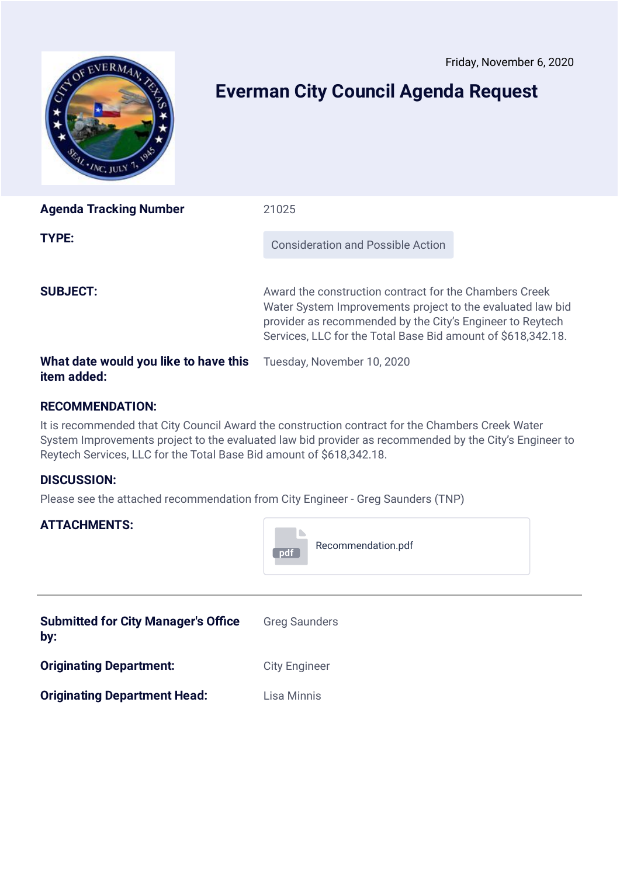<span id="page-19-0"></span>![](_page_19_Picture_1.jpeg)

# **Everman City Council Agenda Request**

| <b>Agenda Tracking Number</b>         | 21025                                                                                                                                                                                                                                             |
|---------------------------------------|---------------------------------------------------------------------------------------------------------------------------------------------------------------------------------------------------------------------------------------------------|
| <b>TYPE:</b>                          | <b>Consideration and Possible Action</b>                                                                                                                                                                                                          |
| <b>SUBJECT:</b>                       | Award the construction contract for the Chambers Creek<br>Water System Improvements project to the evaluated law bid<br>provider as recommended by the City's Engineer to Reytech<br>Services, LLC for the Total Base Bid amount of \$618,342.18. |
| What date would you like to have this | Tuesday, November 10, 2020                                                                                                                                                                                                                        |

# **RECOMMENDATION:**

It is recommended that City Council Award the construction contract for the Chambers Creek Water System Improvements project to the evaluated law bid provider as recommended by the City's Engineer to Reytech Services, LLC for the Total Base Bid amount of \$618,342.18.

**Contract** 

# **DISCUSSION:**

**item added:**

Please see the attached recommendation from City Engineer - Greg Saunders (TNP)

# **ATTACHMENTS:**

|                                                   | Recommendation.pdf<br>pdf |
|---------------------------------------------------|---------------------------|
| <b>Submitted for City Manager's Office</b><br>by: | <b>Greg Saunders</b>      |
| <b>Originating Department:</b>                    | <b>City Engineer</b>      |
| <b>Originating Department Head:</b>               | Lisa Minnis               |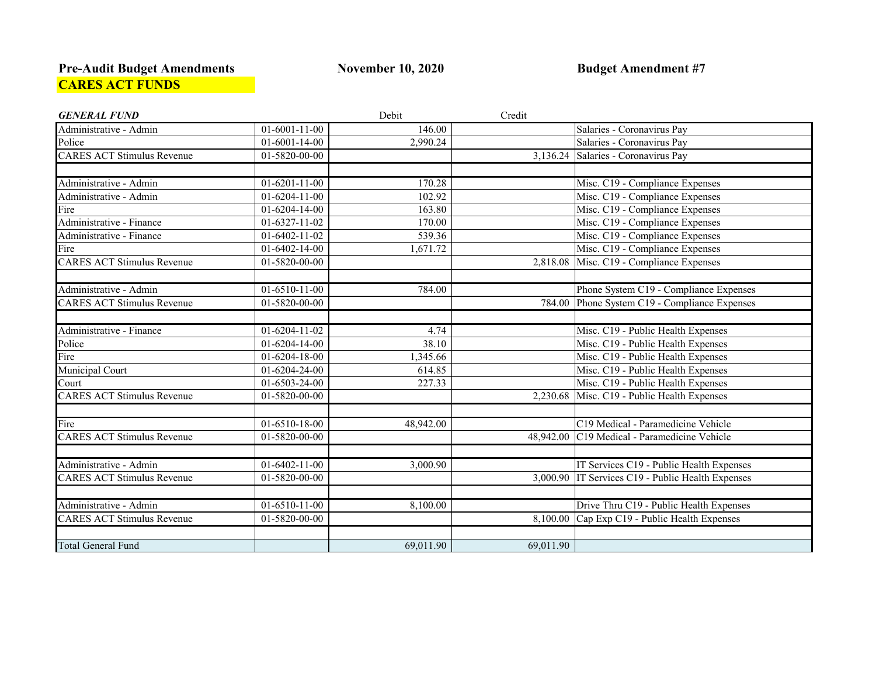### **Pre-Audit Budget Amendments November 10, 2020 Budget Amendment #7 CARES ACT FUNDS**

| <b>GENERAL FUND</b>               |                             | Debit     | Credit    |                                                   |
|-----------------------------------|-----------------------------|-----------|-----------|---------------------------------------------------|
| Administrative - Admin            | $01-6001-11-00$             | 146.00    |           | Salaries - Coronavirus Pay                        |
| Police                            | $01-6001-14-00$             | 2,990.24  |           | Salaries - Coronavirus Pay                        |
| <b>CARES ACT Stimulus Revenue</b> | $01 - 5820 - 00 - 00$       |           |           | 3,136.24 Salaries - Coronavirus Pay               |
|                                   |                             |           |           |                                                   |
| Administrative - Admin            | $01-6201-11-00$             | 170.28    |           | Misc. C19 - Compliance Expenses                   |
| Administrative - Admin            | $\overline{0}$ 1-6204-11-00 | 102.92    |           | Misc. C19 - Compliance Expenses                   |
| Fire                              | 01-6204-14-00               | 163.80    |           | Misc. C19 - Compliance Expenses                   |
| Administrative - Finance          | $\overline{01}$ -6327-11-02 | 170.00    |           | Misc. C19 - Compliance Expenses                   |
| Administrative - Finance          | $01-6402-11-02$             | 539.36    |           | Misc. C19 - Compliance Expenses                   |
| Fire                              | $01-6402-14-00$             | 1,671.72  |           | Misc. C19 - Compliance Expenses                   |
| <b>CARES ACT Stimulus Revenue</b> | 01-5820-00-00               |           |           | 2,818.08 Misc. C19 - Compliance Expenses          |
|                                   |                             |           |           |                                                   |
| Administrative - Admin            | $01-6510-11-00$             | 784.00    |           | Phone System C19 - Compliance Expenses            |
| <b>CARES ACT Stimulus Revenue</b> | $\overline{01}$ -5820-00-00 |           |           | 784.00 Phone System C19 - Compliance Expenses     |
|                                   |                             |           |           |                                                   |
| Administrative - Finance          | $01-6204-11-02$             | 4.74      |           | Misc. C19 - Public Health Expenses                |
| Police                            | $01-6204-14-00$             | 38.10     |           | Misc. C19 - Public Health Expenses                |
| Fire                              | 01-6204-18-00               | 1,345.66  |           | Misc. C19 - Public Health Expenses                |
| Municipal Court                   | 01-6204-24-00               | 614.85    |           | Misc. C19 - Public Health Expenses                |
| Court                             | 01-6503-24-00               | 227.33    |           | Misc. C19 - Public Health Expenses                |
| <b>CARES ACT Stimulus Revenue</b> | 01-5820-00-00               |           |           | 2,230.68 Misc. C19 - Public Health Expenses       |
|                                   |                             |           |           |                                                   |
| Fire                              | 01-6510-18-00               | 48,942.00 |           | C19 Medical - Paramedicine Vehicle                |
| <b>CARES ACT Stimulus Revenue</b> | $01 - 5820 - 00 - 00$       |           |           | 48,942.00 C19 Medical - Paramedicine Vehicle      |
|                                   |                             |           |           |                                                   |
| Administrative - Admin            | $01-6402-11-00$             | 3,000.90  |           | IT Services C19 - Public Health Expenses          |
| <b>CARES ACT Stimulus Revenue</b> | $01 - 5820 - 00 - 00$       |           |           | 3,000.90 IT Services C19 - Public Health Expenses |
|                                   |                             |           |           |                                                   |
| Administrative - Admin            | $01-6510-11-00$             | 8,100.00  |           | Drive Thru C19 - Public Health Expenses           |
| <b>CARES ACT Stimulus Revenue</b> | 01-5820-00-00               |           |           | 8,100.00 Cap Exp C19 - Public Health Expenses     |
|                                   |                             |           |           |                                                   |
| <b>Total General Fund</b>         |                             | 69,011.90 | 69,011.90 |                                                   |